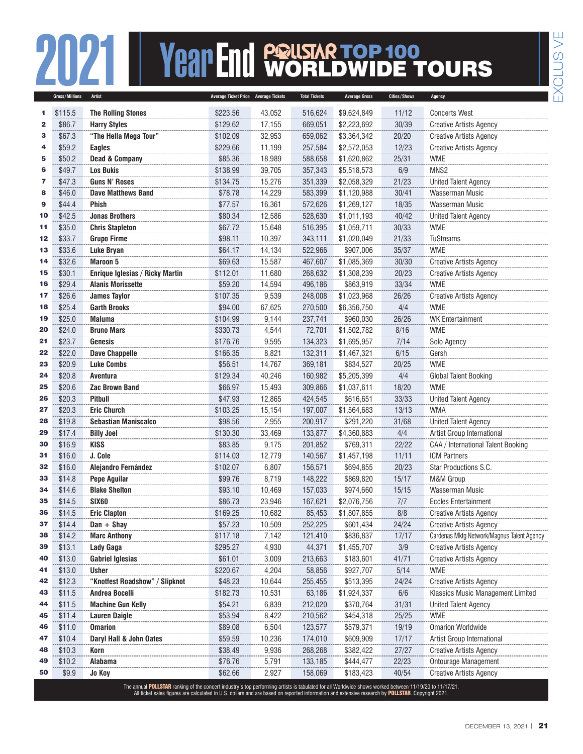## **2021 Year End PRILSTAR TOP 100**<br> **EXPORED WIDE TOURS** WORLDWIDE TOURS

|              | Gross/Millions | Artist                          | Average Ticket Price Average Tickets                                                                                                                   |        | <b>Total Tickets</b> | <b>Average Gross</b> | <b>Cities/Shows</b> | Agency                                     |
|--------------|----------------|---------------------------------|--------------------------------------------------------------------------------------------------------------------------------------------------------|--------|----------------------|----------------------|---------------------|--------------------------------------------|
| 1            | \$115.5        | <b>The Rolling Stones</b>       | \$223.56                                                                                                                                               | 43,052 | 516,624              | \$9,624,849          | 11/12               | <b>Concerts West</b>                       |
| $\mathbf{2}$ | \$86.7         | <b>Harry Styles</b>             | \$129.62                                                                                                                                               | 17,155 | 669,051              | \$2,223,692          | 30/39               | <b>Creative Artists Agency</b>             |
| з            | \$67.3         | "The Hella Mega Tour"           | \$102.09                                                                                                                                               | 32,953 | 659,062              | \$3,364,342          | 20/20               | <b>Creative Artists Agency</b>             |
| 4            | \$59.2         | <b>Eagles</b>                   | \$229.66                                                                                                                                               | 11,199 | 257,584              | \$2,572,053          | 12/23               | <b>Creative Artists Agency</b>             |
| 5            | \$50.2         | <b>Dead &amp; Company</b>       | \$85.36                                                                                                                                                | 18,989 | 588,658              | \$1,620,862          | 25/31               | <b>WME</b>                                 |
| 6            | \$49.7         | <b>Los Bukis</b>                | \$138.99                                                                                                                                               | 39,705 | 357,343              | \$5,518,573          | 6/9                 | MNS <sub>2</sub>                           |
| 7            | \$47.3         | <b>Guns N' Roses</b>            | \$134.75                                                                                                                                               | 15,276 | 351,339              | \$2,058,329          | 21/23               | <b>United Talent Agency</b>                |
| 8            | \$46.0         | <b>Dave Matthews Band</b>       | \$78.78                                                                                                                                                | 14,229 | 583,399              | \$1,120,988          | 30/41               | Wasserman Music                            |
| 9            | \$44.4         | <b>Phish</b>                    | \$77.57                                                                                                                                                | 16,361 | 572,626              | \$1,269,127          | 18/35               | <b>Wasserman Music</b>                     |
| 10           | \$42.5         | <b>Jonas Brothers</b>           | \$80.34                                                                                                                                                | 12,586 | 528,630              | \$1,011,193          | 40/42               | <b>United Talent Agency</b>                |
| 11           | \$35.0         | <b>Chris Stapleton</b>          | \$67.72                                                                                                                                                | 15,648 | 516,395              | \$1,059,711          | 30/33               | <b>WME</b>                                 |
| $12$         | \$33.7         | <b>Grupo Firme</b>              | \$98.11                                                                                                                                                | 10,397 | 343,111              | \$1,020,049          | 21/33               | TuStreams                                  |
| 13           | \$33.6         | Luke Bryan                      | \$64.17                                                                                                                                                | 14,134 | 522,966              | \$907,006            | 35/37               | <b>WME</b>                                 |
| 14           | \$32.6         | <b>Maroon 5</b>                 | \$69.63                                                                                                                                                | 15,587 | 467,607              | \$1,085,369          | 30/30               | <b>Creative Artists Agency</b>             |
| 15           | \$30.1         | Enrique Iglesias / Ricky Martin | \$112.01                                                                                                                                               | 11,680 | 268,632              | \$1,308,239          | 20/23               | <b>Creative Artists Agency</b>             |
| 16           | \$29.4         | <b>Alanis Morissette</b>        | \$59.20                                                                                                                                                | 14,594 | 496,186              | \$863,919            | 33/34               | <b>WME</b>                                 |
| 17           | \$26.6         | <b>James Taylor</b>             | \$107.35                                                                                                                                               | 9,539  | 248,008              | \$1,023,968          | 26/26               | <b>Creative Artists Agency</b>             |
| 18           | \$25.4         | <b>Garth Brooks</b>             | \$94.00                                                                                                                                                | 67,625 | 270,500              | \$6,356,750          | 4/4                 | <b>WME</b>                                 |
| 19           | \$25.0         | <b>Maluma</b>                   | \$104.99                                                                                                                                               | 9,144  | 237,741              | \$960,030            | 26/26               | <b>WK Entertainment</b>                    |
| 20           | \$24.0         | <b>Bruno Mars</b>               | \$330.73                                                                                                                                               | 4,544  | 72,701               | \$1,502,782          | 8/16                | <b>WME</b>                                 |
| 21           | \$23.7         | Genesis                         | \$176.76                                                                                                                                               | 9,595  | 134,323              | \$1,695,957          | 7/14                | Solo Agency                                |
| 22           | \$22.0         | <b>Dave Chappelle</b>           | \$166.35                                                                                                                                               | 8,821  | 132,311              | \$1,467,321          | 6/15                | Gersh                                      |
| 23           | \$20.9         | <b>Luke Combs</b>               | \$56.51                                                                                                                                                | 14,767 | 369,181              | \$834,527            | 20/25               | <b>WME</b>                                 |
| 24           | \$20.8         | Aventura                        | \$129.34                                                                                                                                               | 40,246 | 160,982              | \$5,205,399          | 4/4                 | Global Talent Booking                      |
| 25           | \$20.6         | <b>Zac Brown Band</b>           | \$66.97                                                                                                                                                | 15,493 | 309,866              | \$1,037,611          | 18/20               | <b>WME</b>                                 |
| 26           | \$20.3         | <b>Pitbull</b>                  | \$47.93                                                                                                                                                | 12,865 | 424,545              | \$616,651            | 33/33               | <b>United Talent Agency</b>                |
| 27           | \$20.3         | <b>Eric Church</b>              | \$103.25                                                                                                                                               | 15,154 | 197,007              | \$1,564,683          | 13/13               | <b>WMA</b>                                 |
| 28           | \$19.8         | <b>Sebastian Maniscalco</b>     | \$98.56                                                                                                                                                | 2,955  | 200,917              | \$291,220            | 31/68               | <b>United Talent Agency</b>                |
| 29           | \$17.4         | <b>Billy Joel</b>               | \$130.30                                                                                                                                               | 33,469 | 133,877              | \$4,360,883          | 4/4                 | Artist Group International                 |
| 30           | \$16.9         | <b>KISS</b>                     | \$83.85                                                                                                                                                | 9,175  | 201,852              | \$769,311            | 22/22               | CAA / International Talent Booking         |
| 31           | \$16.0         | J. Cole                         | \$114.03                                                                                                                                               | 12,779 | 140,567              | \$1,457,198          | 11/11               | <b>ICM Partners</b>                        |
| 32           | \$16.0         | Alejandro Fernández             | \$102.07                                                                                                                                               | 6,807  | 156,571              | \$694.855            | 20/23               | Star Productions S.C.                      |
| 33           | \$14.8         | <b>Pepe Aguilar</b>             | \$99.76                                                                                                                                                | 8,719  | 148,222              | \$869,820            | 15/17               | M&M Group                                  |
| 34           | \$14.6         | <b>Blake Shelton</b>            | \$93.10                                                                                                                                                | 10,469 | 157,033              | \$974,660            | 15/15               | <b>Wasserman Music</b>                     |
| 35           | \$14.5         | <b>SIX60</b>                    | \$86.73                                                                                                                                                | 23,946 | 167,621              | \$2,076,756          | 7/7                 | <b>Eccles Entertainment</b>                |
| 36           | \$14.5         | <b>Eric Clapton</b>             | \$169.25                                                                                                                                               | 10,682 | 85,453               | \$1,807,855          | 8/8                 | <b>Creative Artists Agency</b>             |
| 37           | \$14.4         | $Dan + Shay$                    | \$57.23                                                                                                                                                | 10,509 | 252,225              | \$601,434            | 24/24               | <b>Creative Artists Agency</b>             |
| 38           | \$14.2         | <b>Marc Anthony</b>             | \$117.18                                                                                                                                               | 7,142  | 121,410              | \$836,837            | 17/17               | Cardenas Mktg Network/Magnus Talent Agency |
| 39           | \$13.1         | Lady Gaga                       | \$295.27                                                                                                                                               | 4,930  | 44,371               | \$1,455,707          | 3/9                 | <b>Creative Artists Agency</b>             |
| 40           | \$13.0         | <b>Gabriel Iglesias</b>         | \$61.01                                                                                                                                                | 3,009  | 213,663              | \$183,601            | 41/71               | <b>Creative Artists Agency</b>             |
| 41           | \$13.0         | <b>Usher</b>                    | \$220.67                                                                                                                                               | 4,204  | 58,856               | \$927,707            | 5/14                | <b>WME</b>                                 |
| 42           | \$12.3         | "Knotfest Roadshow" / Slipknot  | \$48.23                                                                                                                                                | 10,644 | 255,455              | \$513,395            | 24/24               | <b>Creative Artists Agency</b>             |
| 43           | \$11.5         | Andrea Bocelli                  | \$182.73                                                                                                                                               | 10,531 | 63,186               | \$1,924,337          | 6/6                 | Klassics Music Management Limited          |
| 44           | \$11.5         | <b>Machine Gun Kelly</b>        | \$54.21                                                                                                                                                | 6,839  | 212,020              | \$370,764            | 31/31               | <b>United Talent Agency</b>                |
| 45           | \$11.4         | <b>Lauren Daigle</b>            | \$53.94                                                                                                                                                | 8,422  | 210,562              | \$454,318            | 25/25               | <b>WME</b>                                 |
| 46           | \$11.0         | <b>Omarion</b>                  | \$89.08                                                                                                                                                | 6,504  | 123,577              | \$579,371            | 19/19               | <b>Omarion Worldwide</b>                   |
| 47           | \$10.4         | Daryl Hall & John Oates         | \$59.59                                                                                                                                                | 10,236 | 174,010              | \$609,909            | 17/17               | Artist Group International                 |
| 48           | \$10.3         | Korn                            | \$38.49                                                                                                                                                | 9,936  | 268,268              | \$382,422            | 27/27               | <b>Creative Artists Agency</b>             |
| 49           | \$10.2         | Alabama                         | \$76.76                                                                                                                                                | 5,791  | 133,185              | \$444,477            | 22/23               | Ontourage Management                       |
| 50           | \$9.9          | Jo Koy                          | \$62.66                                                                                                                                                | 2,927  | 158,069              | \$183,423            | 40/54               | <b>Creative Artists Agency</b>             |
|              |                |                                 | The annual POLLSTAR ranking of the concert industry's top performing artists is tabulated for all Worldwide shows worked between 11/19/20 to 11/17/21. |        |                      |                      |                     |                                            |

The annual **POLLSTAR** ranking of the concert industry's top performing artists is tabulated for all Worldwide shows worked between 11/19/20 to 11/17/21.<br>All ticket sales figures are calculated in U.S. dollars and are based